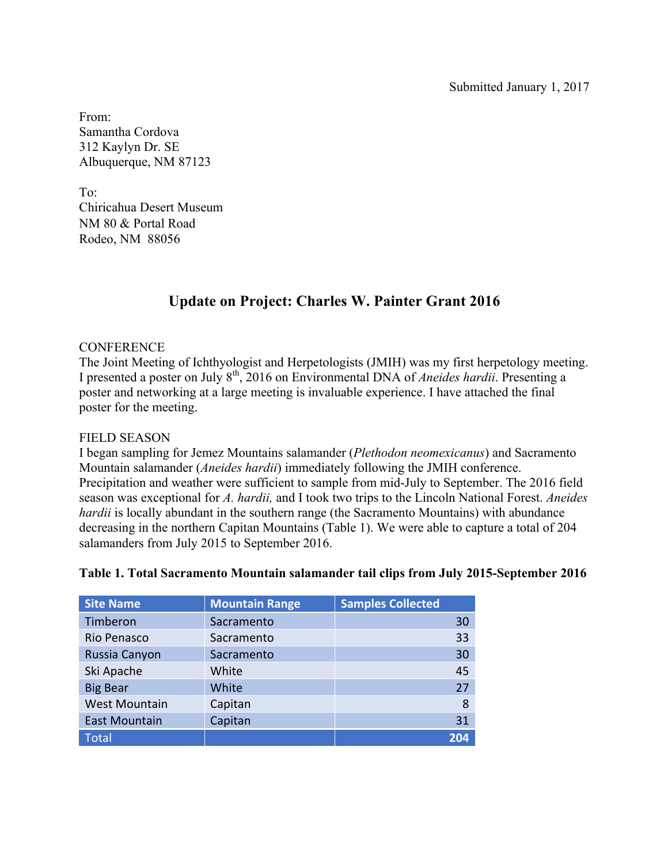From: Samantha Cordova 312 Kaylyn Dr. SE Albuquerque, NM 87123

To: Chiricahua Desert Museum NM 80 & Portal Road Rodeo, NM 88056

# **Update on Project: Charles W. Painter Grant 2016**

#### **CONFERENCE**

The Joint Meeting of Ichthyologist and Herpetologists (JMIH) was my first herpetology meeting. I presented a poster on July 8th, 2016 on Environmental DNA of *Aneides hardii*. Presenting a poster and networking at a large meeting is invaluable experience. I have attached the final poster for the meeting.

#### FIELD SEASON

I began sampling for Jemez Mountains salamander (*Plethodon neomexicanus*) and Sacramento Mountain salamander (*Aneides hardii*) immediately following the JMIH conference. Precipitation and weather were sufficient to sample from mid-July to September. The 2016 field season was exceptional for *A. hardii,* and I took two trips to the Lincoln National Forest. *Aneides hardii* is locally abundant in the southern range (the Sacramento Mountains) with abundance decreasing in the northern Capitan Mountains (Table 1). We were able to capture a total of 204 salamanders from July 2015 to September 2016.

| <b>Site Name</b>     | <b>Mountain Range</b> | <b>Samples Collected</b> |
|----------------------|-----------------------|--------------------------|
| Timberon             | Sacramento            | 30                       |
| Rio Penasco          | Sacramento            | 33                       |
| Russia Canyon        | Sacramento            | 30                       |
| Ski Apache           | White                 | 45                       |
| <b>Big Bear</b>      | White                 | 27                       |
| <b>West Mountain</b> | Capitan               | 8                        |
| <b>East Mountain</b> | Capitan               | 31                       |
| <b>Total</b>         |                       | 204                      |

### **Table 1. Total Sacramento Mountain salamander tail clips from July 2015-September 2016**